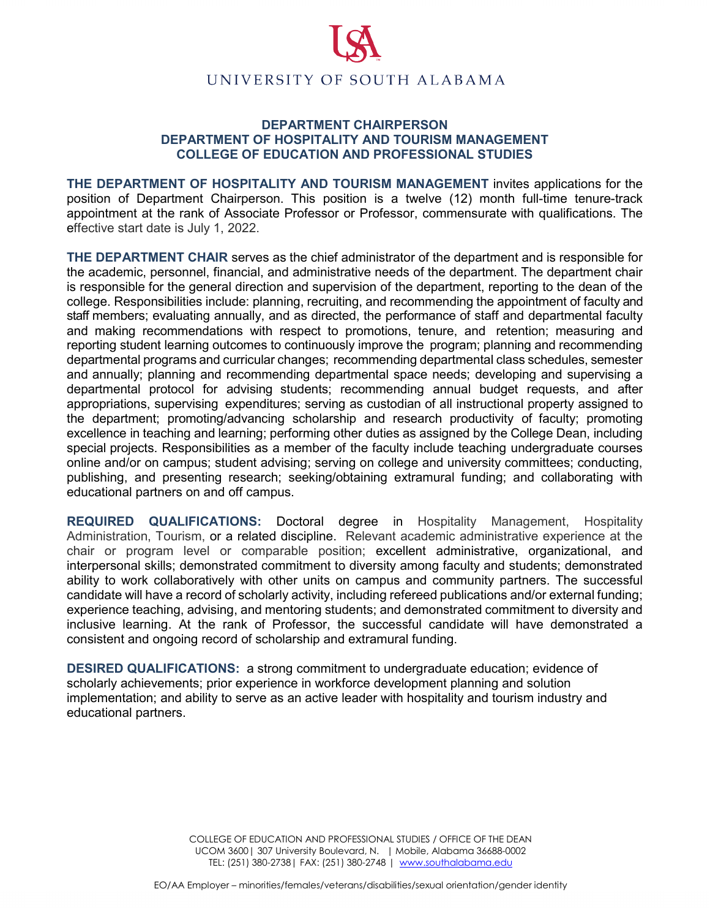

## **DEPARTMENT CHAIRPERSON DEPARTMENT OF HOSPITALITY AND TOURISM MANAGEMENT COLLEGE OF EDUCATION AND PROFESSIONAL STUDIES**

**THE DEPARTMENT OF HOSPITALITY AND TOURISM MANAGEMENT** invites applications for the position of Department Chairperson. This position is a twelve (12) month full-time tenure-track appointment at the rank of Associate Professor or Professor, commensurate with qualifications. The effective start date is July 1, 2022.

**THE DEPARTMENT CHAIR** serves as the chief administrator of the department and is responsible for the academic, personnel, financial, and administrative needs of the department. The department chair is responsible for the general direction and supervision of the department, reporting to the dean of the college. Responsibilities include: planning, recruiting, and recommending the appointment of faculty and staff members; evaluating annually, and as directed, the performance of staff and departmental faculty and making recommendations with respect to promotions, tenure, and retention; measuring and reporting student learning outcomes to continuously improve the program; planning and recommending departmental programs and curricular changes; recommending departmental class schedules, semester and annually; planning and recommending departmental space needs; developing and supervising a departmental protocol for advising students; recommending annual budget requests, and after appropriations, supervising expenditures; serving as custodian of all instructional property assigned to the department; promoting/advancing scholarship and research productivity of faculty; promoting excellence in teaching and learning; performing other duties as assigned by the College Dean, including special projects. Responsibilities as a member of the faculty include teaching undergraduate courses online and/or on campus; student advising; serving on college and university committees; conducting, publishing, and presenting research; seeking/obtaining extramural funding; and collaborating with educational partners on and off campus.

**REQUIRED QUALIFICATIONS:** Doctoral degree in Hospitality Management, Hospitality Administration, Tourism, or a related discipline. Relevant academic administrative experience at the chair or program level or comparable position; excellent administrative, organizational, and interpersonal skills; demonstrated commitment to diversity among faculty and students; demonstrated ability to work collaboratively with other units on campus and community partners. The successful candidate will have a record of scholarly activity, including refereed publications and/or external funding; experience teaching, advising, and mentoring students; and demonstrated commitment to diversity and inclusive learning. At the rank of Professor, the successful candidate will have demonstrated a consistent and ongoing record of scholarship and extramural funding.

**DESIRED QUALIFICATIONS:** a strong commitment to undergraduate education; evidence of scholarly achievements; prior experience in workforce development planning and solution implementation; and ability to serve as an active leader with hospitality and tourism industry and educational partners.

> COLLEGE OF EDUCATION AND PROFESSIONAL STUDIES / OFFICE OF THE DEAN UCOM 3600| 307 University Boulevard, N. | Mobile, Alabama 36688-0002 TEL: (251) 380-2738| FAX: (251) 380-2748 | [www.southalabama.edu](http://www.southalabama.edu/)